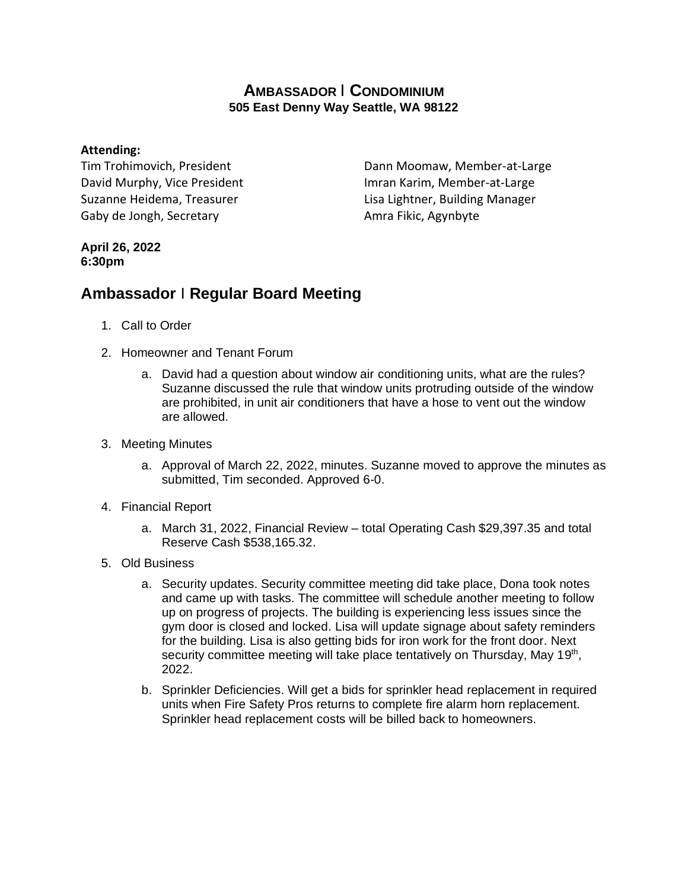## **AMBASSADOR** I **CONDOMINIUM 505 East Denny Way Seattle, WA 98122**

## **Attending:**

Tim Trohimovich, President David Murphy, Vice President Suzanne Heidema, Treasurer Gaby de Jongh, Secretary

Dann Moomaw, Member-at-Large Imran Karim, Member-at-Large Lisa Lightner, Building Manager Amra Fikic, Agynbyte

## **April 26, 2022 6:30pm**

## **Ambassador** I **Regular Board Meeting**

- 1. Call to Order
- 2. Homeowner and Tenant Forum
	- a. David had a question about window air conditioning units, what are the rules? Suzanne discussed the rule that window units protruding outside of the window are prohibited, in unit air conditioners that have a hose to vent out the window are allowed.
- 3. Meeting Minutes
	- a. Approval of March 22, 2022, minutes. Suzanne moved to approve the minutes as submitted, Tim seconded. Approved 6-0.
- 4. Financial Report
	- a. March 31, 2022, Financial Review total Operating Cash \$29,397.35 and total Reserve Cash \$538,165.32.
- 5. Old Business
	- a. Security updates. Security committee meeting did take place, Dona took notes and came up with tasks. The committee will schedule another meeting to follow up on progress of projects. The building is experiencing less issues since the gym door is closed and locked. Lisa will update signage about safety reminders for the building. Lisa is also getting bids for iron work for the front door. Next security committee meeting will take place tentatively on Thursday, May 19<sup>th</sup>, 2022.
	- b. Sprinkler Deficiencies. Will get a bids for sprinkler head replacement in required units when Fire Safety Pros returns to complete fire alarm horn replacement. Sprinkler head replacement costs will be billed back to homeowners.